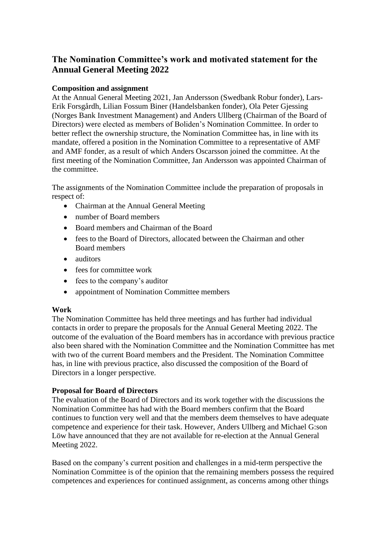# **The Nomination Committee's work and motivated statement for the Annual General Meeting 2022**

# **Composition and assignment**

At the Annual General Meeting 2021, Jan Andersson (Swedbank Robur fonder), Lars-Erik Forsgårdh, Lilian Fossum Biner (Handelsbanken fonder), Ola Peter Gjessing (Norges Bank Investment Management) and Anders Ullberg (Chairman of the Board of Directors) were elected as members of Boliden's Nomination Committee. In order to better reflect the ownership structure, the Nomination Committee has, in line with its mandate, offered a position in the Nomination Committee to a representative of AMF and AMF fonder, as a result of which Anders Oscarsson joined the committee. At the first meeting of the Nomination Committee, Jan Andersson was appointed Chairman of the committee.

The assignments of the Nomination Committee include the preparation of proposals in respect of:

- Chairman at the Annual General Meeting
- number of Board members
- Board members and Chairman of the Board
- fees to the Board of Directors, allocated between the Chairman and other Board members
- auditors
- fees for committee work
- fees to the company's auditor
- appointment of Nomination Committee members

# **Work**

The Nomination Committee has held three meetings and has further had individual contacts in order to prepare the proposals for the Annual General Meeting 2022. The outcome of the evaluation of the Board members has in accordance with previous practice also been shared with the Nomination Committee and the Nomination Committee has met with two of the current Board members and the President. The Nomination Committee has, in line with previous practice, also discussed the composition of the Board of Directors in a longer perspective.

# **Proposal for Board of Directors**

The evaluation of the Board of Directors and its work together with the discussions the Nomination Committee has had with the Board members confirm that the Board continues to function very well and that the members deem themselves to have adequate competence and experience for their task. However, Anders Ullberg and Michael G:son Löw have announced that they are not available for re-election at the Annual General Meeting 2022.

Based on the company's current position and challenges in a mid-term perspective the Nomination Committee is of the opinion that the remaining members possess the required competences and experiences for continued assignment, as concerns among other things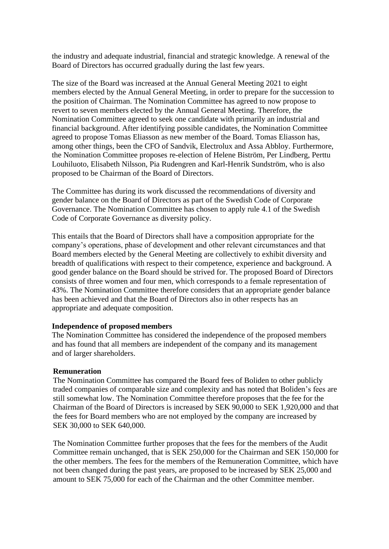the industry and adequate industrial, financial and strategic knowledge. A renewal of the Board of Directors has occurred gradually during the last few years.

The size of the Board was increased at the Annual General Meeting 2021 to eight members elected by the Annual General Meeting, in order to prepare for the succession to the position of Chairman. The Nomination Committee has agreed to now propose to revert to seven members elected by the Annual General Meeting. Therefore, the Nomination Committee agreed to seek one candidate with primarily an industrial and financial background. After identifying possible candidates, the Nomination Committee agreed to propose Tomas Eliasson as new member of the Board. Tomas Eliasson has, among other things, been the CFO of Sandvik, Electrolux and Assa Abbloy. Furthermore, the Nomination Committee proposes re-election of Helene Biström, Per Lindberg, Perttu Louhiluoto, Elisabeth Nilsson, Pia Rudengren and Karl-Henrik Sundström, who is also proposed to be Chairman of the Board of Directors.

The Committee has during its work discussed the recommendations of diversity and gender balance on the Board of Directors as part of the Swedish Code of Corporate Governance. The Nomination Committee has chosen to apply rule 4.1 of the Swedish Code of Corporate Governance as diversity policy.

This entails that the Board of Directors shall have a composition appropriate for the company's operations, phase of development and other relevant circumstances and that Board members elected by the General Meeting are collectively to exhibit diversity and breadth of qualifications with respect to their competence, experience and background. A good gender balance on the Board should be strived for. The proposed Board of Directors consists of three women and four men, which corresponds to a female representation of 43%. The Nomination Committee therefore considers that an appropriate gender balance has been achieved and that the Board of Directors also in other respects has an appropriate and adequate composition.

#### **Independence of proposed members**

The Nomination Committee has considered the independence of the proposed members and has found that all members are independent of the company and its management and of larger shareholders.

#### **Remuneration**

The Nomination Committee has compared the Board fees of Boliden to other publicly traded companies of comparable size and complexity and has noted that Boliden's fees are still somewhat low. The Nomination Committee therefore proposes that the fee for the Chairman of the Board of Directors is increased by SEK 90,000 to SEK 1,920,000 and that the fees for Board members who are not employed by the company are increased by SEK 30,000 to SEK 640,000.

The Nomination Committee further proposes that the fees for the members of the Audit Committee remain unchanged, that is SEK 250,000 for the Chairman and SEK 150,000 for the other members. The fees for the members of the Remuneration Committee, which have not been changed during the past years, are proposed to be increased by SEK 25,000 and amount to SEK 75,000 for each of the Chairman and the other Committee member.